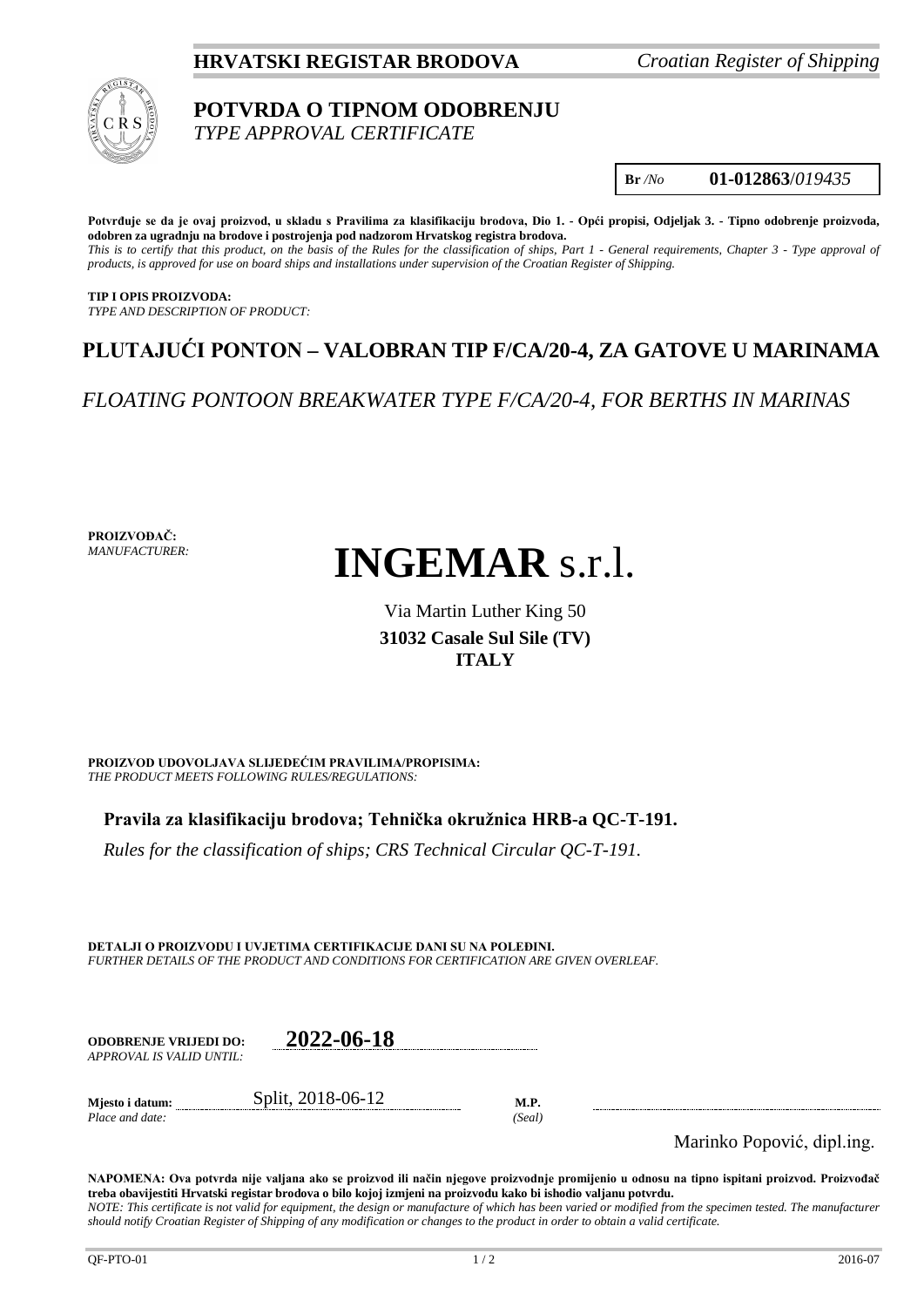## **HRVATSKI REGISTAR BRODOVA** *Croatian Register of Shipping*



## **POTVRDA O TIPNOM ODOBRENJU** *TYPE APPROVAL CERTIFICATE*

**Br** */No* **01-012863**/*019435*

**Potvrđuje se da je ovaj proizvod, u skladu s Pravilima za klasifikaciju brodova, Dio 1. - Opći propisi, Odjeljak 3. - Tipno odobrenje proizvoda, odobren za ugradnju na brodove i postrojenja pod nadzorom Hrvatskog registra brodova.** *This is to certify that this product, on the basis of the Rules for the classification of ships, Part 1 - General requirements, Chapter 3 - Type approval of products, is approved for use on board ships and installations under supervision of the Croatian Register of Shipping.*

**TIP I OPIS PROIZVODA:** *TYPE AND DESCRIPTION OF PRODUCT:*

# **PLUTAJUĆI PONTON – VALOBRAN TIP F/CA/20-4, ZA GATOVE U MARINAMA**

*FLOATING PONTOON BREAKWATER TYPE F/CA/20-4, FOR BERTHS IN MARINAS*

**PROIZVOĐAČ:** *MANUFACTURER:*

# **INGEMAR** s.r.l.

# Via Martin Luther King 50 **31032 Casale Sul Sile (TV) ITALY**

**PROIZVOD UDOVOLJAVA SLIJEDEĆIM PRAVILIMA/PROPISIMA:** *THE PRODUCT MEETS FOLLOWING RULES/REGULATIONS:*

**Pravila za klasifikaciju brodova; Tehnička okružnica HRB-a QC-T-191.**

*Rules for the classification of ships; CRS Technical Circular QC-T-191.*

**DETALJI O PROIZVODU I UVJETIMA CERTIFIKACIJE DANI SU NA POLEĐINI.** *FURTHER DETAILS OF THE PRODUCT AND CONDITIONS FOR CERTIFICATION ARE GIVEN OVERLEAF.*

**ODOBRENJE VRIJEDI DO: 2022-06-18** *APPROVAL IS VALID UNTIL:*

**Mjesto i datum:** Split, 2018-06-12 **M.P.** *Place and date: (Seal)*

Marinko Popović, dipl.ing.

**NAPOMENA: Ova potvrda nije valjana ako se proizvod ili način njegove proizvodnje promijenio u odnosu na tipno ispitani proizvod. Proizvođač treba obavijestiti Hrvatski registar brodova o bilo kojoj izmjeni na proizvodu kako bi ishodio valjanu potvrdu.** *NOTE: This certificate is not valid for equipment, the design or manufacture of which has been varied or modified from the specimen tested. The manufacturer should notify Croatian Register of Shipping of any modification or changes to the product in order to obtain a valid certificate.*